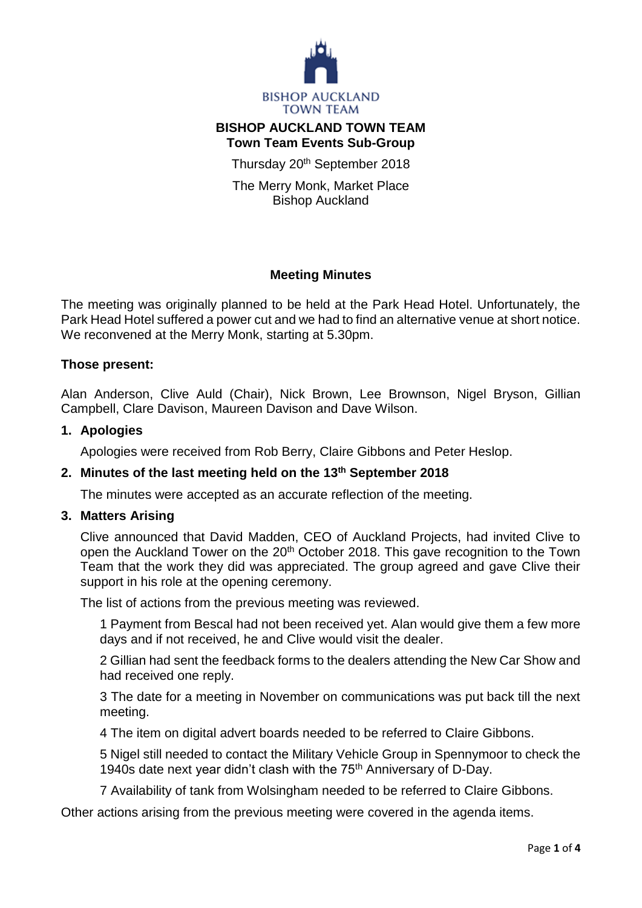

# **BISHOP AUCKLAND TOWN TEAM Town Team Events Sub-Group**

Thursday 20<sup>th</sup> September 2018

The Merry Monk, Market Place Bishop Auckland

# **Meeting Minutes**

The meeting was originally planned to be held at the Park Head Hotel. Unfortunately, the Park Head Hotel suffered a power cut and we had to find an alternative venue at short notice. We reconvened at the Merry Monk, starting at 5.30pm.

# **Those present:**

Alan Anderson, Clive Auld (Chair), Nick Brown, Lee Brownson, Nigel Bryson, Gillian Campbell, Clare Davison, Maureen Davison and Dave Wilson.

#### **1. Apologies**

Apologies were received from Rob Berry, Claire Gibbons and Peter Heslop.

# **2. Minutes of the last meeting held on the 13th September 2018**

The minutes were accepted as an accurate reflection of the meeting.

#### **3. Matters Arising**

Clive announced that David Madden, CEO of Auckland Projects, had invited Clive to open the Auckland Tower on the 20<sup>th</sup> October 2018. This gave recognition to the Town Team that the work they did was appreciated. The group agreed and gave Clive their support in his role at the opening ceremony.

The list of actions from the previous meeting was reviewed.

1 Payment from Bescal had not been received yet. Alan would give them a few more days and if not received, he and Clive would visit the dealer.

2 Gillian had sent the feedback forms to the dealers attending the New Car Show and had received one reply.

3 The date for a meeting in November on communications was put back till the next meeting.

4 The item on digital advert boards needed to be referred to Claire Gibbons.

5 Nigel still needed to contact the Military Vehicle Group in Spennymoor to check the 1940s date next year didn't clash with the 75<sup>th</sup> Anniversary of D-Day.

7 Availability of tank from Wolsingham needed to be referred to Claire Gibbons.

Other actions arising from the previous meeting were covered in the agenda items.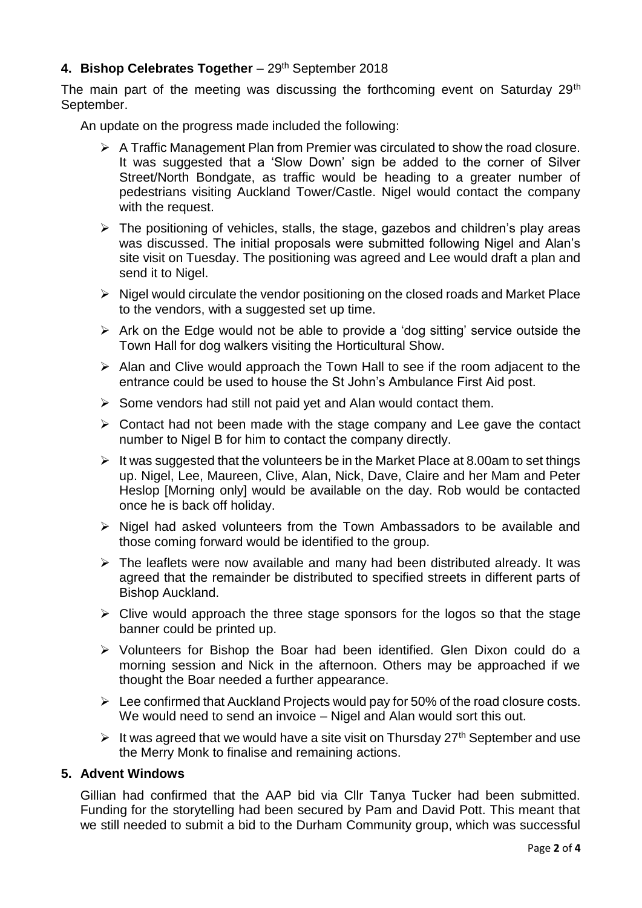# **4. Bishop Celebrates Together** – 29th September 2018

The main part of the meeting was discussing the forthcoming event on Saturday 29<sup>th</sup> September.

An update on the progress made included the following:

- $\triangleright$  A Traffic Management Plan from Premier was circulated to show the road closure. It was suggested that a 'Slow Down' sign be added to the corner of Silver Street/North Bondgate, as traffic would be heading to a greater number of pedestrians visiting Auckland Tower/Castle. Nigel would contact the company with the request.
- $\triangleright$  The positioning of vehicles, stalls, the stage, gazebos and children's play areas was discussed. The initial proposals were submitted following Nigel and Alan's site visit on Tuesday. The positioning was agreed and Lee would draft a plan and send it to Nigel.
- $\triangleright$  Nigel would circulate the vendor positioning on the closed roads and Market Place to the vendors, with a suggested set up time.
- $\triangleright$  Ark on the Edge would not be able to provide a 'dog sitting' service outside the Town Hall for dog walkers visiting the Horticultural Show.
- $\triangleright$  Alan and Clive would approach the Town Hall to see if the room adjacent to the entrance could be used to house the St John's Ambulance First Aid post.
- $\triangleright$  Some vendors had still not paid yet and Alan would contact them.
- $\triangleright$  Contact had not been made with the stage company and Lee gave the contact number to Nigel B for him to contact the company directly.
- $\triangleright$  It was suggested that the volunteers be in the Market Place at 8.00am to set things up. Nigel, Lee, Maureen, Clive, Alan, Nick, Dave, Claire and her Mam and Peter Heslop [Morning only] would be available on the day. Rob would be contacted once he is back off holiday.
- $\triangleright$  Nigel had asked volunteers from the Town Ambassadors to be available and those coming forward would be identified to the group.
- $\triangleright$  The leaflets were now available and many had been distributed already. It was agreed that the remainder be distributed to specified streets in different parts of Bishop Auckland.
- $\triangleright$  Clive would approach the three stage sponsors for the logos so that the stage banner could be printed up.
- Volunteers for Bishop the Boar had been identified. Glen Dixon could do a morning session and Nick in the afternoon. Others may be approached if we thought the Boar needed a further appearance.
- $\triangleright$  Lee confirmed that Auckland Projects would pay for 50% of the road closure costs. We would need to send an invoice – Nigel and Alan would sort this out.
- It was agreed that we would have a site visit on Thursday  $27<sup>th</sup>$  September and use the Merry Monk to finalise and remaining actions.

# **5. Advent Windows**

Gillian had confirmed that the AAP bid via Cllr Tanya Tucker had been submitted. Funding for the storytelling had been secured by Pam and David Pott. This meant that we still needed to submit a bid to the Durham Community group, which was successful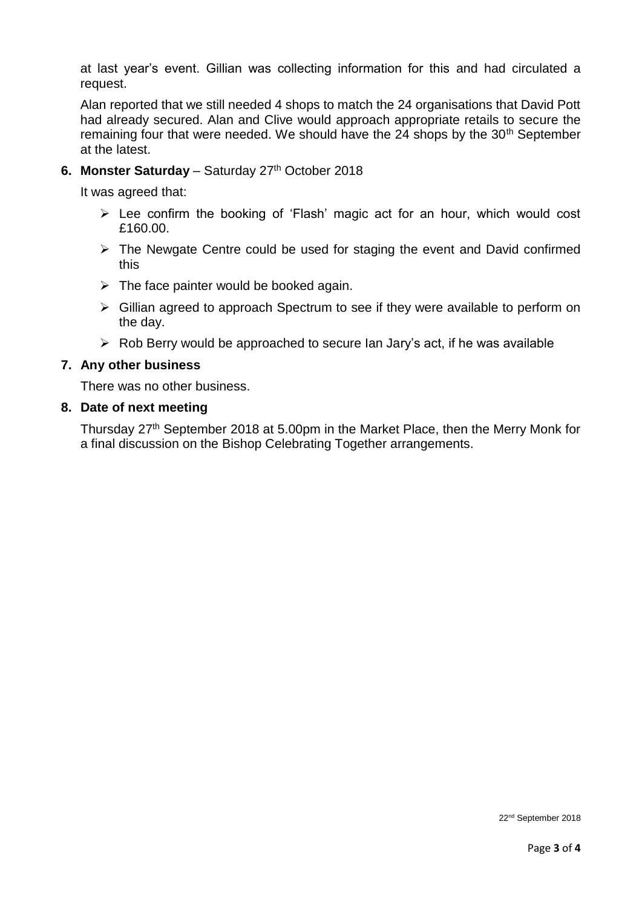at last year's event. Gillian was collecting information for this and had circulated a request.

Alan reported that we still needed 4 shops to match the 24 organisations that David Pott had already secured. Alan and Clive would approach appropriate retails to secure the remaining four that were needed. We should have the 24 shops by the 30<sup>th</sup> September at the latest.

# **6. Monster Saturday** – Saturday 27<sup>th</sup> October 2018

It was agreed that:

- $\triangleright$  Lee confirm the booking of 'Flash' magic act for an hour, which would cost £160.00.
- $\triangleright$  The Newgate Centre could be used for staging the event and David confirmed this
- $\triangleright$  The face painter would be booked again.
- Gillian agreed to approach Spectrum to see if they were available to perform on the day.
- $\triangleright$  Rob Berry would be approached to secure Ian Jary's act, if he was available

# **7. Any other business**

There was no other business.

### **8. Date of next meeting**

Thursday 27<sup>th</sup> September 2018 at 5.00pm in the Market Place, then the Merry Monk for a final discussion on the Bishop Celebrating Together arrangements.